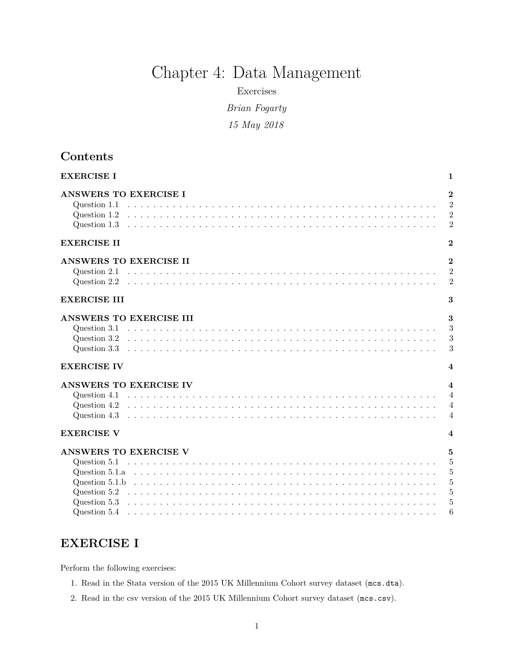# Chapter 4: Data Management

Exercises

*Brian Fogarty*

*15 May 2018*

# **Contents**

| <b>EXERCISE I</b>                                            | $\mathbf{1}$                                                                  |
|--------------------------------------------------------------|-------------------------------------------------------------------------------|
| <b>ANSWERS TO EXERCISE I</b><br>Question 1.1<br>Question 1.2 | $\overline{2}$<br>$\overline{2}$<br>$\overline{2}$<br>$\overline{2}$          |
| <b>EXERCISE II</b>                                           | $\overline{2}$                                                                |
| ANSWERS TO EXERCISE II<br>Question 2.1                       | $\overline{2}$<br>$\overline{2}$<br>$\overline{2}$                            |
| <b>EXERCISE III</b>                                          | 3                                                                             |
| ANSWERS TO EXERCISE III<br>Question 3.2                      | 3<br>3<br>3<br>3                                                              |
| <b>EXERCISE IV</b>                                           | $\overline{\mathbf{4}}$                                                       |
| ANSWERS TO EXERCISE IV<br>Question 4.1<br>Question 4.2       | $\overline{\mathbf{4}}$<br>$\overline{4}$<br>$\overline{4}$<br>$\overline{4}$ |
| <b>EXERCISE V</b>                                            | $\boldsymbol{4}$                                                              |
| ANSWERS TO EXERCISE V<br>Question 5.1                        | $\mathbf{5}$<br>5<br>5                                                        |
| Question 5.2                                                 | $\overline{5}$<br>$\overline{5}$<br>5<br>6                                    |

# <span id="page-0-0"></span>**EXERCISE I**

Perform the following exercises:

- 1. Read in the Stata version of the 2015 UK Millennium Cohort survey dataset (mcs.dta).
- 2. Read in the csv version of the 2015 UK Millennium Cohort survey dataset (mcs.csv).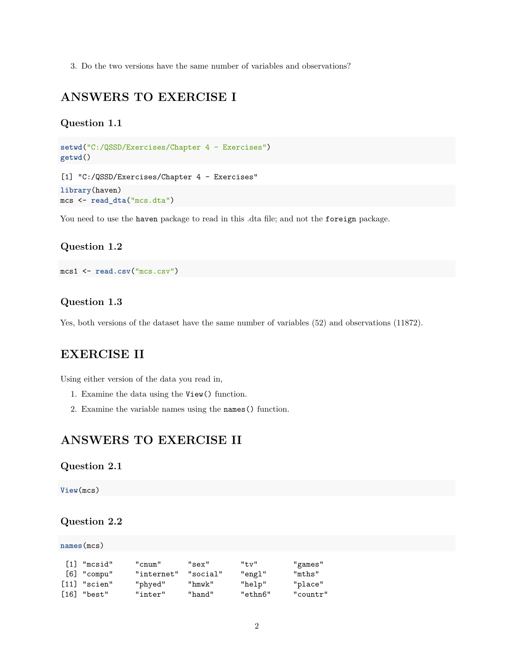3. Do the two versions have the same number of variables and observations?

# <span id="page-1-0"></span>**ANSWERS TO EXERCISE I**

#### <span id="page-1-1"></span>**Question 1.1**

```
setwd("C:/QSSD/Exercises/Chapter 4 - Exercises")
getwd()
```
[1] "C:/QSSD/Exercises/Chapter 4 - Exercises" **library**(haven) mcs <- **read\_dta**("mcs.dta")

You need to use the haven package to read in this .dta file; and not the foreign package.

#### <span id="page-1-2"></span>**Question 1.2**

```
mcs1 <- read.csv("mcs.csv")
```
#### <span id="page-1-3"></span>**Question 1.3**

Yes, both versions of the dataset have the same number of variables (52) and observations (11872).

# <span id="page-1-4"></span>**EXERCISE II**

Using either version of the data you read in,

- 1. Examine the data using the View() function.
- 2. Examine the variable names using the names() function.

# <span id="page-1-5"></span>**ANSWERS TO EXERCISE II**

#### <span id="page-1-6"></span>**Question 2.1**

**View**(mcs)

#### <span id="page-1-7"></span>**Question 2.2**

| names(mcs) |                            |            |          |             |          |  |  |  |  |  |
|------------|----------------------------|------------|----------|-------------|----------|--|--|--|--|--|
|            |                            |            |          |             |          |  |  |  |  |  |
|            | [1] "mcsid"                | "cnum"     | "sex"    | $"$ t.v $"$ | "games"  |  |  |  |  |  |
|            | $[6]$ "compu"              | "internet" | "social" | "engl"      | "mths"   |  |  |  |  |  |
|            | $\lceil 11 \rceil$ "scien" | "phyed"    | "hmwk"   | "help"      | "place"  |  |  |  |  |  |
| [16]       | "best"                     | "inter"    | "hand"   | "ethn6"     | "countr" |  |  |  |  |  |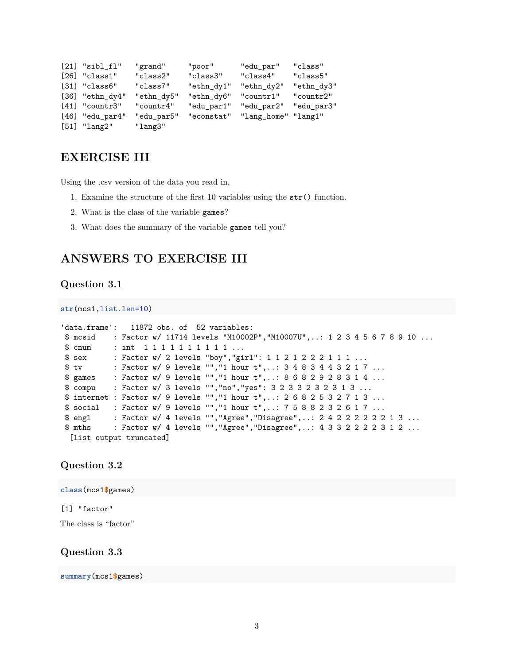```
[21] "sibl_fl" "grand" "poor" "edu_par" "class"
[26] "class1" "class2" "class3" "class4" "class5"
[31] "class6" "class7" "ethn_dy1" "ethn_dy2" "ethn_dy3"
[36] "ethn_dy4" "ethn_dy5" "ethn_dy6" "countr1" "countr2"
[41] "countr3" "countr4" "edu_par1" "edu_par2" "edu_par3"
[46] "edu_par4" "edu_par5" "econstat" "lang_home" "lang1"
[51] "lang2" "lang3"
```
# <span id="page-2-0"></span>**EXERCISE III**

Using the .csv version of the data you read in,

- 1. Examine the structure of the first 10 variables using the str() function.
- 2. What is the class of the variable games?
- 3. What does the summary of the variable games tell you?

# <span id="page-2-1"></span>**ANSWERS TO EXERCISE III**

#### <span id="page-2-2"></span>**Question 3.1**

```
str(mcs1,list.len=10)
```

```
'data.frame': 11872 obs. of 52 variables:
$ mcsid : Factor w/ 11714 levels "M10002P","M10007U",..: 1 2 3 4 5 6 7 8 9 10 ...
$ cnum : int 1 1 1 1 1 1 1 1 1 1 ...
$ sex : Factor w/ 2 levels "boy", "girl": 1 1 2 1 2 2 2 1 1 1 ...
$ tv : Factor w/ 9 levels "", "1 hour t",..: 3 4 8 3 4 4 3 2 1 7 ...
$ games : Factor w/ 9 levels "","1 hour t",..: 8 6 8 2 9 2 8 3 1 4 ...
$ compu : Factor w/ 3 levels "","no","yes": 3 2 3 3 2 3 2 3 1 3 ...
$ internet : Factor w/ 9 levels "","1 hour t",..: 2 6 8 2 5 3 2 7 1 3 ...
$ social : Factor w/ 9 levels "","1 hour t",..: 7 5 8 8 2 3 2 6 1 7 ...
$ engl : Factor w/ 4 levels "","Agree","Disagree",..: 2 4 2 2 2 2 2 2 1 3 ...
$ mths : Factor w/ 4 levels "","Agree","Disagree",..: 4 3 3 2 2 2 2 3 1 2 ...
 [list output truncated]
```
#### <span id="page-2-3"></span>**Question 3.2**

**class**(mcs1**\$**games)

#### [1] "factor"

The class is "factor"

#### <span id="page-2-4"></span>**Question 3.3**

**summary**(mcs1**\$**games)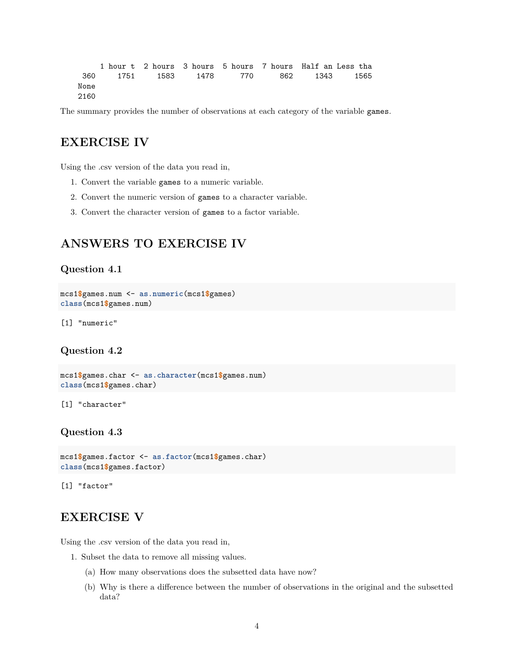|      | 1 hour t 2 hours 3 hours 5 hours 7 hours Half an Less tha |  |  |  |
|------|-----------------------------------------------------------|--|--|--|
|      | 360 1751 1583 1478 770 862 1343 1565                      |  |  |  |
| None |                                                           |  |  |  |
| 2160 |                                                           |  |  |  |

The summary provides the number of observations at each category of the variable games.

# <span id="page-3-0"></span>**EXERCISE IV**

Using the .csv version of the data you read in,

- 1. Convert the variable games to a numeric variable.
- 2. Convert the numeric version of games to a character variable.
- 3. Convert the character version of games to a factor variable.

## <span id="page-3-1"></span>**ANSWERS TO EXERCISE IV**

#### <span id="page-3-2"></span>**Question 4.1**

```
mcs1$games.num <- as.numeric(mcs1$games)
class(mcs1$games.num)
```
[1] "numeric"

#### <span id="page-3-3"></span>**Question 4.2**

```
mcs1$games.char <- as.character(mcs1$games.num)
class(mcs1$games.char)
```
[1] "character"

#### <span id="page-3-4"></span>**Question 4.3**

```
mcs1$games.factor <- as.factor(mcs1$games.char)
class(mcs1$games.factor)
```
[1] "factor"

### <span id="page-3-5"></span>**EXERCISE V**

Using the .csv version of the data you read in,

- 1. Subset the data to remove all missing values.
	- (a) How many observations does the subsetted data have now?
	- (b) Why is there a difference between the number of observations in the original and the subsetted data?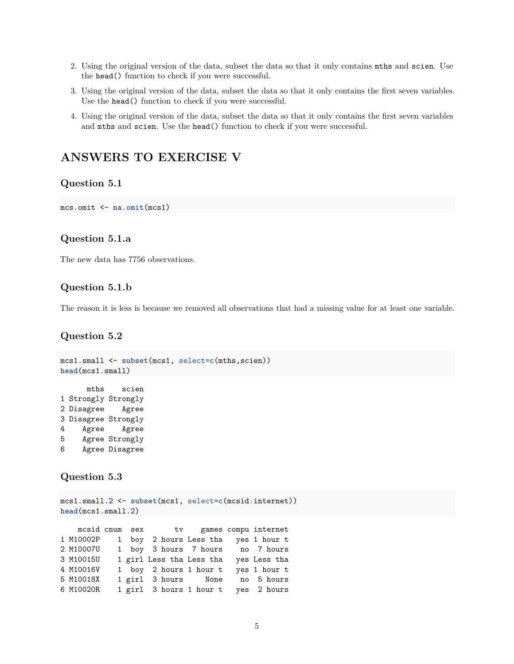- 2. Using the original version of the data, subset the data so that it only contains mths and scien. Use the head() function to check if you were successful.
- 3. Using the original version of the data, subset the data so that it only contains the first seven variables. Use the head() function to check if you were successful.
- 4. Using the original version of the data, subset the data so that it only contains the first seven variables and mths and scien. Use the head() function to check if you were successful.

# <span id="page-4-0"></span>**ANSWERS TO EXERCISE V**

#### <span id="page-4-1"></span>**Question 5.1**

mcs.omit <- **na.omit**(mcs1)

#### <span id="page-4-2"></span>**Question 5.1.a**

The new data has 7756 observations.

#### <span id="page-4-3"></span>**Question 5.1.b**

The reason it is less is because we removed all observations that had a missing value for at least one variable.

#### <span id="page-4-4"></span>**Question 5.2**

```
mcs1.small <- subset(mcs1, select=c(mths,scien))
head(mcs1.small)
```

```
mths scien
1 Strongly Strongly
2 Disagree Agree
3 Disagree Strongly
4 Agree Agree
5 Agree Strongly
6 Agree Disagree
```
#### <span id="page-4-5"></span>**Question 5.3**

```
mcs1.small.2 <- subset(mcs1, select=c(mcsid:internet))
head(mcs1.small.2)
```
mcsid cnum sex tv games compu internet 1 M10002P 1 boy 2 hours Less tha yes 1 hour t 2 M10007U 1 boy 3 hours 7 hours no 7 hours 3 M10015U 1 girl Less tha Less tha yes Less tha 4 M10016V 1 boy 2 hours 1 hour t yes 1 hour t 5 M10018X 1 girl 3 hours None no 5 hours 6 M10020R 1 girl 3 hours 1 hour t yes 2 hours